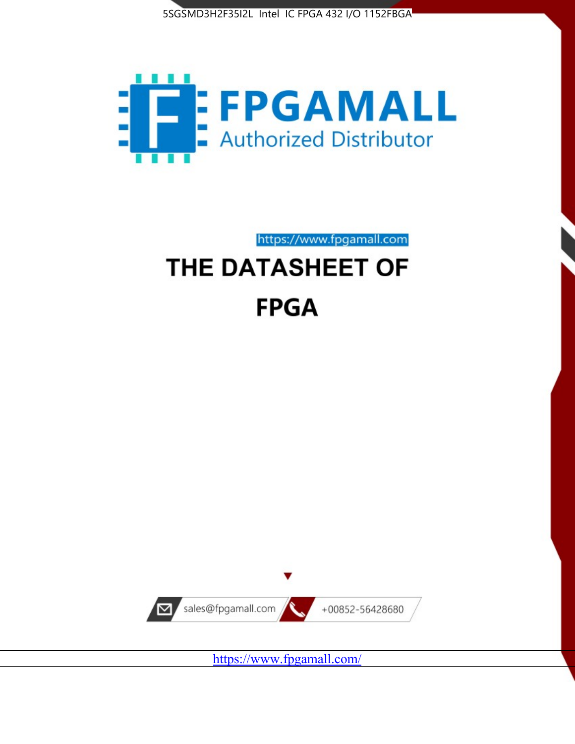



https://www.fpgamall.com

# THE DATASHEET OF **FPGA**



<https://www.fpgamall.com/>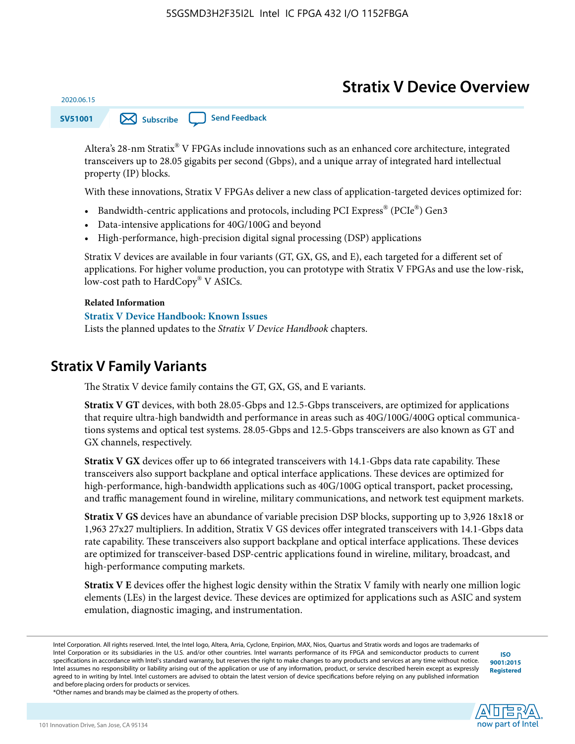# **Stratix V Device Overview**

**SV51001 [Subscribe](https://www.altera.com/servlets/subscriptions/alert?id=SV51001) [Send Feedback](mailto:FPGAtechdocfeedback@intel.com?subject=Feedback%20on%20(SV51001%202020.06.15)%20Stratix%20V%20Device%20Overview&body=We%20appreciate%20your%20feedback.%20In%20your%20comments,%20also%20specify%20the%20page%20number%20or%20paragraph.%20Thank%20you.)** 

Altera's 28-nm Stratix® V FPGAs include innovations such as an enhanced core architecture, integrated transceivers up to 28.05 gigabits per second (Gbps), and a unique array of integrated hard intellectual property (IP) blocks.

With these innovations, Stratix V FPGAs deliver a new class of application-targeted devices optimized for:

- Bandwidth-centric applications and protocols, including PCI Express® (PCIe®) Gen3
- Data-intensive applications for 40G/100G and beyond
- High-performance, high-precision digital signal processing (DSP) applications

Stratix V devices are available in four variants (GT, GX, GS, and E), each targeted for a different set of applications. For higher volume production, you can prototype with Stratix V FPGAs and use the low-risk, low-cost path to HardCopy® V ASICs.

#### **Related Information**

2020.06.15

#### **[Stratix V Device Handbook: Known Issues](http://www.altera.com/support/kdb/solutions/rd08242010_83.html)**

Lists the planned updates to the *Stratix V Device Handbook* chapters.

### **Stratix V Family Variants**

The Stratix V device family contains the GT, GX, GS, and E variants.

**Stratix V GT** devices, with both 28.05-Gbps and 12.5-Gbps transceivers, are optimized for applications that require ultra-high bandwidth and performance in areas such as 40G/100G/400G optical communica‐ tions systems and optical test systems. 28.05-Gbps and 12.5-Gbps transceivers are also known as GT and GX channels, respectively.

**Stratix V GX** devices offer up to 66 integrated transceivers with 14.1-Gbps data rate capability. These transceivers also support backplane and optical interface applications. These devices are optimized for high-performance, high-bandwidth applications such as 40G/100G optical transport, packet processing, and traffic management found in wireline, military communications, and network test equipment markets.

**Stratix V GS** devices have an abundance of variable precision DSP blocks, supporting up to 3,926 18x18 or 1,963 27x27 multipliers. In addition, Stratix V GS devices offer integrated transceivers with 14.1-Gbps data rate capability. These transceivers also support backplane and optical interface applications. These devices are optimized for transceiver-based DSP-centric applications found in wireline, military, broadcast, and high-performance computing markets.

**Stratix V E** devices offer the highest logic density within the Stratix V family with nearly one million logic elements (LEs) in the largest device. These devices are optimized for applications such as ASIC and system emulation, diagnostic imaging, and instrumentation.

**[ISO](http://www.altera.com/support/devices/reliability/certifications/rel-certifications.html) [9001:2015](http://www.altera.com/support/devices/reliability/certifications/rel-certifications.html) [Registered](http://www.altera.com/support/devices/reliability/certifications/rel-certifications.html)**

**now part of Intel** 

\*Other names and brands may be claimed as the property of others.

Intel Corporation. All rights reserved. Intel, the Intel logo, Altera, Arria, Cyclone, Enpirion, MAX, Nios, Quartus and Stratix words and logos are trademarks of Intel Corporation or its subsidiaries in the U.S. and/or other countries. Intel warrants performance of its FPGA and semiconductor products to current specifications in accordance with Intel's standard warranty, but reserves the right to make changes to any products and services at any time without notice. Intel assumes no responsibility or liability arising out of the application or use of any information, product, or service described herein except as expressly agreed to in writing by Intel. Intel customers are advised to obtain the latest version of device specifications before relying on any published information and before placing orders for products or services.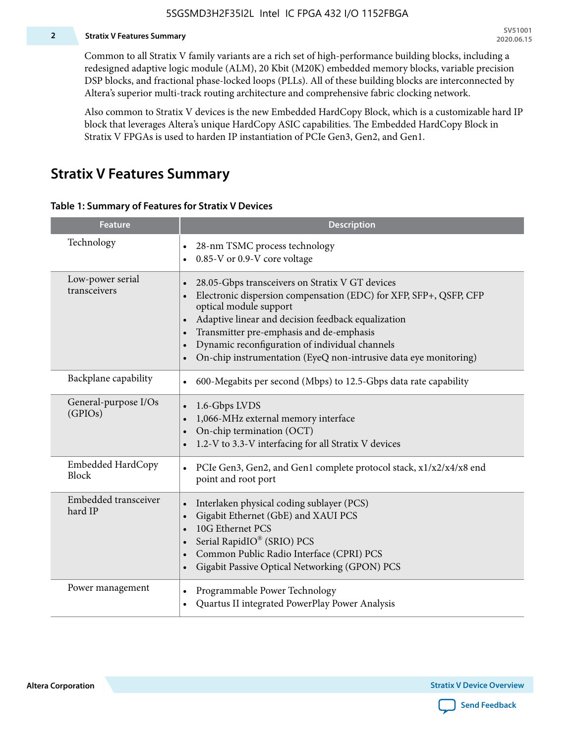#### **2 Stratix V Features Summary**

Common to all Stratix V family variants are a rich set of high-performance building blocks, including a redesigned adaptive logic module (ALM), 20 Kbit (M20K) embedded memory blocks, variable precision DSP blocks, and fractional phase-locked loops (PLLs). All of these building blocks are interconnected by Altera's superior multi-track routing architecture and comprehensive fabric clocking network.

Also common to Stratix V devices is the new Embedded HardCopy Block, which is a customizable hard IP block that leverages Altera's unique HardCopy ASIC capabilities. The Embedded HardCopy Block in Stratix V FPGAs is used to harden IP instantiation of PCIe Gen3, Gen2, and Gen1.

### **Stratix V Features Summary**

#### **Table 1: Summary of Features for Stratix V Devices**

| <b>Feature</b>                    | <b>Description</b>                                                                                                                                                                                                                                                                                                                                                                                                         |
|-----------------------------------|----------------------------------------------------------------------------------------------------------------------------------------------------------------------------------------------------------------------------------------------------------------------------------------------------------------------------------------------------------------------------------------------------------------------------|
| Technology                        | 28-nm TSMC process technology<br>0.85-V or 0.9-V core voltage                                                                                                                                                                                                                                                                                                                                                              |
| Low-power serial<br>transceivers  | 28.05-Gbps transceivers on Stratix V GT devices<br>$\bullet$<br>Electronic dispersion compensation (EDC) for XFP, SFP+, QSFP, CFP<br>optical module support<br>Adaptive linear and decision feedback equalization<br>$\bullet$<br>Transmitter pre-emphasis and de-emphasis<br>Dynamic reconfiguration of individual channels<br>$\bullet$<br>On-chip instrumentation (EyeQ non-intrusive data eye monitoring)<br>$\bullet$ |
| Backplane capability              | 600-Megabits per second (Mbps) to 12.5-Gbps data rate capability<br>$\bullet$                                                                                                                                                                                                                                                                                                                                              |
| General-purpose I/Os<br>(GPIOs)   | 1.6-Gbps LVDS<br>1,066-MHz external memory interface<br>$\bullet$<br>On-chip termination (OCT)<br>$\bullet$<br>1.2-V to 3.3-V interfacing for all Stratix V devices                                                                                                                                                                                                                                                        |
| Embedded HardCopy<br><b>Block</b> | PCIe Gen3, Gen2, and Gen1 complete protocol stack, x1/x2/x4/x8 end<br>$\bullet$<br>point and root port                                                                                                                                                                                                                                                                                                                     |
| Embedded transceiver<br>hard IP   | Interlaken physical coding sublayer (PCS)<br>$\bullet$<br>Gigabit Ethernet (GbE) and XAUI PCS<br>$\bullet$<br>10G Ethernet PCS<br>Serial RapidIO® (SRIO) PCS<br>$\bullet$<br>Common Public Radio Interface (CPRI) PCS<br>$\bullet$<br>Gigabit Passive Optical Networking (GPON) PCS<br>$\bullet$                                                                                                                           |
| Power management                  | Programmable Power Technology<br>$\bullet$<br>Quartus II integrated PowerPlay Power Analysis<br>$\bullet$                                                                                                                                                                                                                                                                                                                  |

**Altera Corporation** 

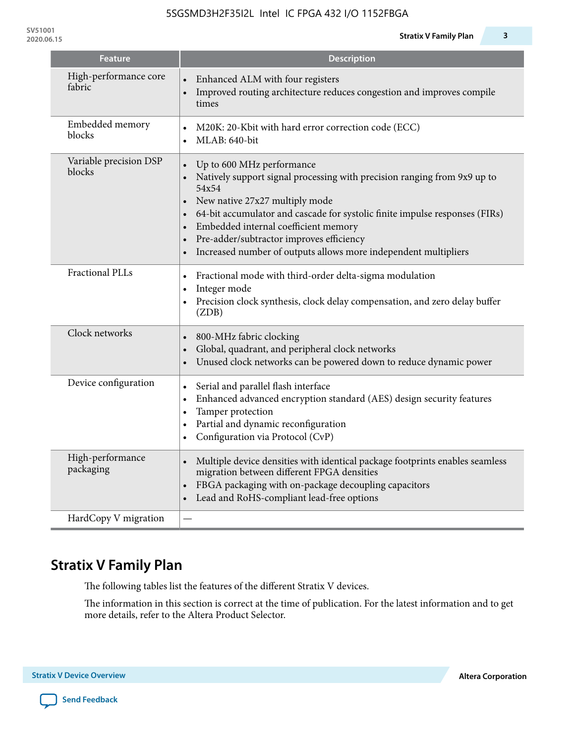| <b>Feature</b>                   | <b>Description</b>                                                                                                                                                                                                                                                                                                                                                                                               |
|----------------------------------|------------------------------------------------------------------------------------------------------------------------------------------------------------------------------------------------------------------------------------------------------------------------------------------------------------------------------------------------------------------------------------------------------------------|
| High-performance core<br>fabric  | Enhanced ALM with four registers<br>$\bullet$<br>Improved routing architecture reduces congestion and improves compile<br>times                                                                                                                                                                                                                                                                                  |
| Embedded memory<br>blocks        | M20K: 20-Kbit with hard error correction code (ECC)<br>$\bullet$<br>$MLAB: 640$ -bit                                                                                                                                                                                                                                                                                                                             |
| Variable precision DSP<br>blocks | Up to 600 MHz performance<br>Natively support signal processing with precision ranging from 9x9 up to<br>54x54<br>New native 27x27 multiply mode<br>$\bullet$<br>64-bit accumulator and cascade for systolic finite impulse responses (FIRs)<br>Embedded internal coefficient memory<br>Pre-adder/subtractor improves efficiency<br>$\bullet$<br>Increased number of outputs allows more independent multipliers |

Fractional PLLs **•** Fractional mode with third-order delta-sigma modulation

|  | $\cdot$ Integer mode                                                                  |
|--|---------------------------------------------------------------------------------------|
|  | • Precision clock synthesis, clock delay compensation, and zero delay buffer<br>(ZDB) |

| Clock networks                | 800-MHz fabric clocking<br>$\bullet$<br>Global, quadrant, and peripheral clock networks<br>Unused clock networks can be powered down to reduce dynamic power<br>$\bullet$                                                       |
|-------------------------------|---------------------------------------------------------------------------------------------------------------------------------------------------------------------------------------------------------------------------------|
| Device configuration          | Serial and parallel flash interface<br>$\bullet$<br>Enhanced advanced encryption standard (AES) design security features<br>Tamper protection<br>Partial and dynamic reconfiguration<br>Configuration via Protocol (CvP)        |
| High-performance<br>packaging | Multiple device densities with identical package footprints enables seamless<br>migration between different FPGA densities<br>FBGA packaging with on-package decoupling capacitors<br>Lead and RoHS-compliant lead-free options |
| HardCopy V migration          |                                                                                                                                                                                                                                 |

# **Stratix V Family Plan**

The following tables list the features of the different Stratix V devices.

The information in this section is correct at the time of publication. For the latest information and to get more details, refer to the Altera Product Selector.

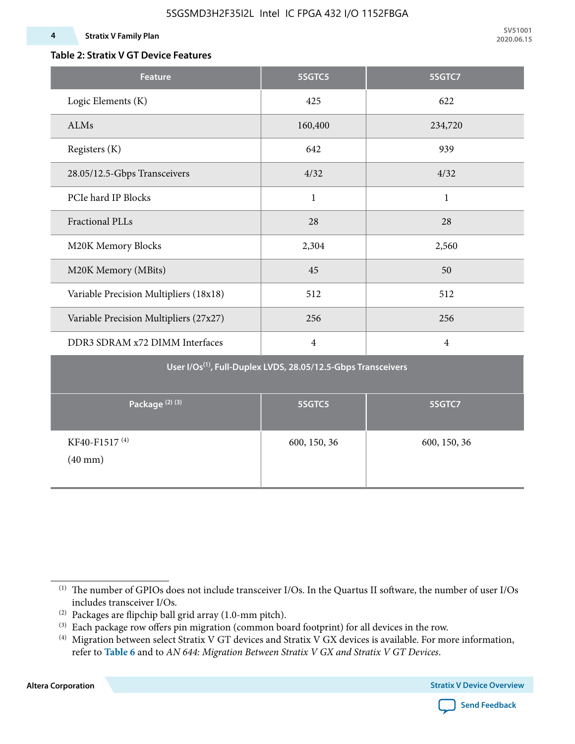#### **Table 2: Stratix V GT Device Features**

| <b>Feature</b>                                                            | 5SGTC5         | 5SGTC7         |  |  |  |  |  |
|---------------------------------------------------------------------------|----------------|----------------|--|--|--|--|--|
| Logic Elements (K)                                                        | 425            | 622            |  |  |  |  |  |
| ALMs                                                                      | 160,400        | 234,720        |  |  |  |  |  |
| Registers (K)                                                             | 642            | 939            |  |  |  |  |  |
| 28.05/12.5-Gbps Transceivers                                              | 4/32           | 4/32           |  |  |  |  |  |
| PCIe hard IP Blocks                                                       | $\mathbf{1}$   | $\mathbf{1}$   |  |  |  |  |  |
| <b>Fractional PLLs</b>                                                    | 28             | 28             |  |  |  |  |  |
| M20K Memory Blocks                                                        | 2,304          | 2,560          |  |  |  |  |  |
| M20K Memory (MBits)                                                       | 45             | 50             |  |  |  |  |  |
| Variable Precision Multipliers (18x18)                                    | 512            | 512            |  |  |  |  |  |
| Variable Precision Multipliers (27x27)                                    | 256            | 256            |  |  |  |  |  |
| DDR3 SDRAM x72 DIMM Interfaces                                            | $\overline{4}$ | $\overline{4}$ |  |  |  |  |  |
| User I/Os <sup>(1)</sup> , Full-Duplex LVDS, 28.05/12.5-Gbps Transceivers |                |                |  |  |  |  |  |
| Package <sup>(2)(3)</sup>                                                 | 5SGTC5         | 5SGTC7         |  |  |  |  |  |
| KF40-F1517 <sup>(4)</sup><br>$(40$ mm $)$                                 | 600, 150, 36   | 600, 150, 36   |  |  |  |  |  |

**Altera Corporation** 



<sup>(1)</sup> The number of GPIOs does not include transceiver I/Os. In the Quartus II software, the number of user I/Os includes transceiver I/Os.

 $^{(2)}$  Packages are flipchip ball grid array (1.0-mm pitch).

<sup>(3)</sup> Each package row offers pin migration (common board footprint) for all devices in the row.

<sup>(4)</sup> Migration between select Stratix V GT devices and Stratix V GX devices is available. For more information, refer to **Table 6** and to *AN 644: Migration Between Stratix V GX and Stratix V GT Devices*.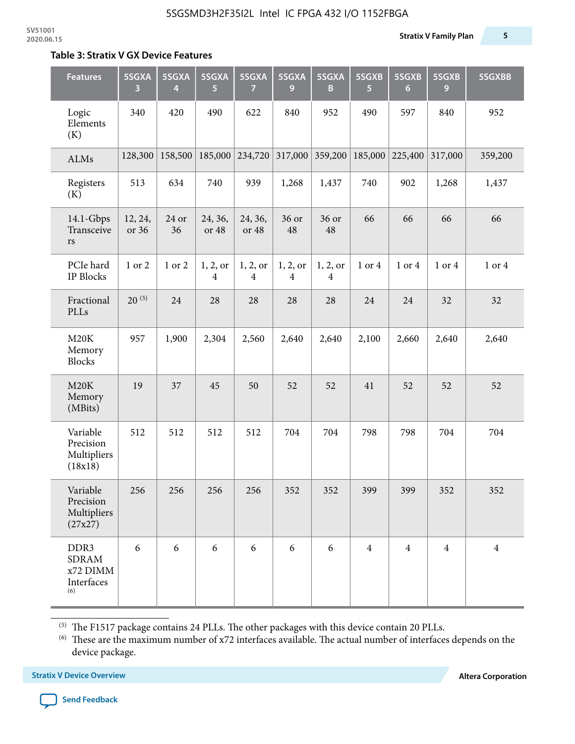#### **Table 3: Stratix V GX Device Features**

| <b>Features</b>                                                   | 5SGXA<br>3       | 5SGXA<br>4  | 5SGXA<br>5                 | 5SGXA<br>7                 | 5SGXA<br>9                 | 5SGXA<br>B                 | 5SGXB<br>5     | 5SGXB<br>$6\phantom{1}$ | 5SGXB<br>9     | 5SGXBB         |
|-------------------------------------------------------------------|------------------|-------------|----------------------------|----------------------------|----------------------------|----------------------------|----------------|-------------------------|----------------|----------------|
| Logic<br>Elements<br>(K)                                          | 340              | 420         | 490                        | 622                        | 840                        | 952                        | 490            | 597                     | 840            | 952            |
| ALMs                                                              | 128,300          | 158,500     | 185,000                    | 234,720                    | 317,000                    | 359,200                    | 185,000        | 225,400                 | 317,000        | 359,200        |
| Registers<br>(K)                                                  | 513              | 634         | 740                        | 939                        | 1,268                      | 1,437                      | 740            | 902                     | 1,268          | 1,437          |
| $14.1$ -Gbps<br>Transceive<br>rs                                  | 12, 24,<br>or 36 | 24 or<br>36 | 24, 36,<br>or 48           | 24, 36,<br>or 48           | 36 or<br>48                | 36 or<br>48                | 66             | 66                      | 66             | 66             |
| PCIe hard<br><b>IP Blocks</b>                                     | 1 or 2           | 1 or 2      | 1, 2, 0r<br>$\overline{4}$ | 1, 2, or<br>$\overline{4}$ | 1, 2, or<br>$\overline{4}$ | 1, 2, or<br>$\overline{4}$ | 1 or 4         | 1 or 4                  | 1 or 4         | 1 or 4         |
| Fractional<br>PLLs                                                | $20^{(5)}$       | 24          | 28                         | 28                         | 28                         | 28                         | 24             | 24                      | 32             | 32             |
| M20K<br>Memory<br><b>Blocks</b>                                   | 957              | 1,900       | 2,304                      | 2,560                      | 2,640                      | 2,640                      | 2,100          | 2,660                   | 2,640          | 2,640          |
| M20K<br>Memory<br>(MBits)                                         | 19               | 37          | 45                         | 50                         | 52                         | 52                         | 41             | 52                      | 52             | 52             |
| Variable<br>Precision<br>Multipliers<br>(18x18)                   | 512              | 512         | 512                        | 512                        | 704                        | 704                        | 798            | 798                     | 704            | 704            |
| Variable<br>Precision<br>Multipliers<br>(27x27)                   | 256              | 256         | 256                        | 256                        | 352                        | 352                        | 399            | 399                     | 352            | 352            |
| DDR <sub>3</sub><br><b>SDRAM</b><br>x72 DIMM<br>Interfaces<br>(6) | 6                | 6           | 6                          | 6                          | 6                          | 6                          | $\overline{4}$ | $\overline{4}$          | $\overline{4}$ | $\overline{4}$ |

 $^{\left(5\right)}$  The F1517 package contains 24 PLLs. The other packages with this device contain 20 PLLs.

(6) These are the maximum number of x72 interfaces available. The actual number of interfaces depends on the device package.

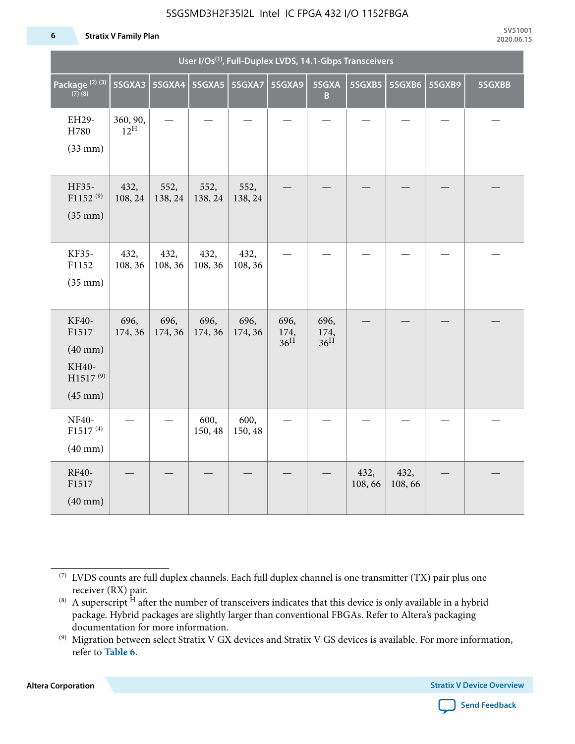#### 5SGSMD3H2F35I2L Intel IC FPGA 432 I/O 1152FBGA

#### **6 Stratix V Family Plan**

| User I/Os <sup>(1)</sup> , Full-Duplex LVDS, 14.1-Gbps Transceivers                  |                             |                          |                 |                 |                                 |                                 |                |                |        |        |
|--------------------------------------------------------------------------------------|-----------------------------|--------------------------|-----------------|-----------------|---------------------------------|---------------------------------|----------------|----------------|--------|--------|
| Package <sup>(2)(3)</sup><br>$(7)$ (8)                                               | 5SGXA3                      | 5SGXA4   5SGXA5   5SGXA7 |                 |                 | 5SGXA9                          | 5SGXA<br>B                      | 5SGXB5         | 5SGXB6         | 5SGXB9 | 5SGXBB |
| EH29-<br>H780<br>$(33$ mm $)$                                                        | 360, 90,<br>$12^{\text{H}}$ |                          |                 |                 |                                 |                                 |                |                |        |        |
| HF35-<br>$F1152^{(9)}$<br>$(35$ mm $)$                                               | 432,<br>108, 24             | 552,<br>138, 24          | 552,<br>138, 24 | 552,<br>138, 24 |                                 |                                 |                |                |        |        |
| KF35-<br>F1152<br>$(35$ mm $)$                                                       | 432,<br>108, 36             | 432,<br>108, 36          | 432,<br>108, 36 | 432,<br>108, 36 |                                 |                                 |                |                |        |        |
| KF40-<br>F1517<br>$(40$ mm $)$<br>KH40-<br>H1517 <sup>(9)</sup><br>$(45 \text{ mm})$ | 696,<br>174, 36             | 696,<br>174, 36          | 696,<br>174, 36 | 696,<br>174, 36 | 696,<br>174,<br>36 <sup>H</sup> | 696,<br>174,<br>36 <sup>H</sup> |                |                |        |        |
| NF40-<br>F1517 <sup>(4)</sup><br>$(40$ mm $)$                                        |                             |                          | 600,<br>150, 48 | 600,<br>150, 48 |                                 |                                 |                |                |        |        |
| RF40-<br>F1517<br>$(40$ mm $)$                                                       |                             |                          |                 |                 |                                 |                                 | 432,<br>108,66 | 432,<br>108,66 |        |        |

**Altera Corporation** 



<sup>(7)</sup> LVDS counts are full duplex channels. Each full duplex channel is one transmitter (TX) pair plus one receiver (RX) pair.

<sup>(8)</sup> A superscript  $H$  after the number of transceivers indicates that this device is only available in a hybrid package. Hybrid packages are slightly larger than conventional FBGAs. Refer to Altera's packaging documentation for more information.

<sup>(9)</sup> Migration between select Stratix V GX devices and Stratix V GS devices is available. For more information, refer to **Table 6**.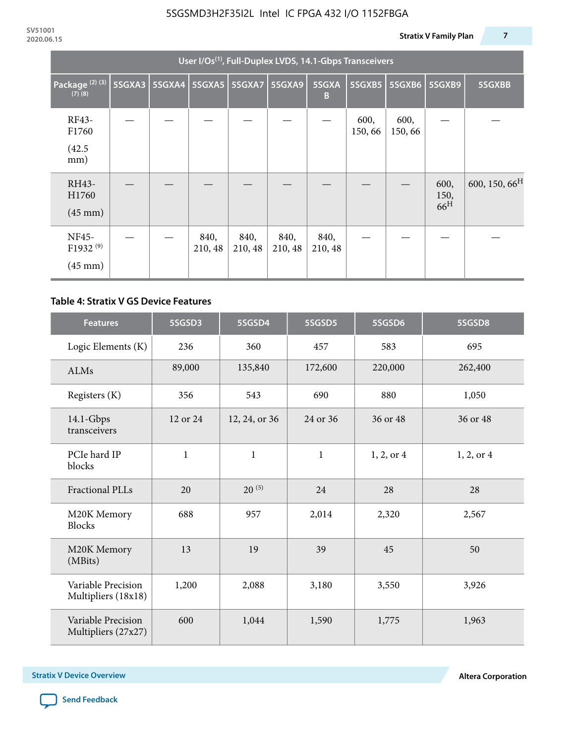| User I/Os <sup>(1)</sup> , Full-Duplex LVDS, 14.1-Gbps Transceivers |        |               |                 |                      |                 |                 |                 |                 |                                 |                           |
|---------------------------------------------------------------------|--------|---------------|-----------------|----------------------|-----------------|-----------------|-----------------|-----------------|---------------------------------|---------------------------|
| Package <sup>(2)(3)</sup><br>$(7)$ $(8)$                            | 5SGXA3 | <b>5SGXA4</b> |                 | <b>5SGXA5 5SGXA7</b> | 5SGXA9          | 5SGXA<br>B      | 5SGXB5          | <b>5SGXB6</b>   | <b>5SGXB9</b>                   | 5SGXBB                    |
| RF43-<br>F1760                                                      |        |               |                 |                      |                 |                 | 600,<br>150, 66 | 600,<br>150, 66 |                                 |                           |
| (42.5)<br>mm)                                                       |        |               |                 |                      |                 |                 |                 |                 |                                 |                           |
| RH43-<br>H1760<br>$(45 \text{ mm})$                                 |        |               |                 |                      |                 |                 |                 |                 | 600,<br>150,<br>66 <sup>H</sup> | 600, 150, 66 <sup>H</sup> |
| NF45-<br>F1932 <sup>(9)</sup><br>$(45 \text{ mm})$                  |        |               | 840,<br>210, 48 | 840,<br>210, 48      | 840,<br>210, 48 | 840,<br>210, 48 |                 |                 |                                 |                           |

#### **Table 4: Stratix V GS Device Features**

| <b>Features</b>                           | 5SGSD3       | 5SGSD4        | 5SGSD5       | 5SGSD6     | 5SGSD8         |
|-------------------------------------------|--------------|---------------|--------------|------------|----------------|
| Logic Elements (K)                        | 236          | 360           | 457          | 583        | 695            |
| <b>ALMs</b>                               | 89,000       | 135,840       | 172,600      | 220,000    | 262,400        |
| Registers (K)                             | 356          | 543           | 690          | 880        | 1,050          |
| $14.1$ -Gbps<br>transceivers              | 12 or 24     | 12, 24, or 36 | 24 or 36     | 36 or 48   | 36 or 48       |
| PCIe hard IP<br>blocks                    | $\mathbf{1}$ | $\mathbf{1}$  | $\mathbf{1}$ | 1, 2, or 4 | $1, 2,$ or $4$ |
| Fractional PLLs                           | 20           | $20^{(5)}$    | 24           | 28         | 28             |
| M20K Memory<br><b>Blocks</b>              | 688          | 957           | 2,014        | 2,320      | 2,567          |
| M20K Memory<br>(MBits)                    | 13           | 19            | 39           | 45         | 50             |
| Variable Precision<br>Multipliers (18x18) | 1,200        | 2,088         | 3,180        | 3,550      | 3,926          |
| Variable Precision<br>Multipliers (27x27) | 600          | 1,044         | 1,590        | 1,775      | 1,963          |

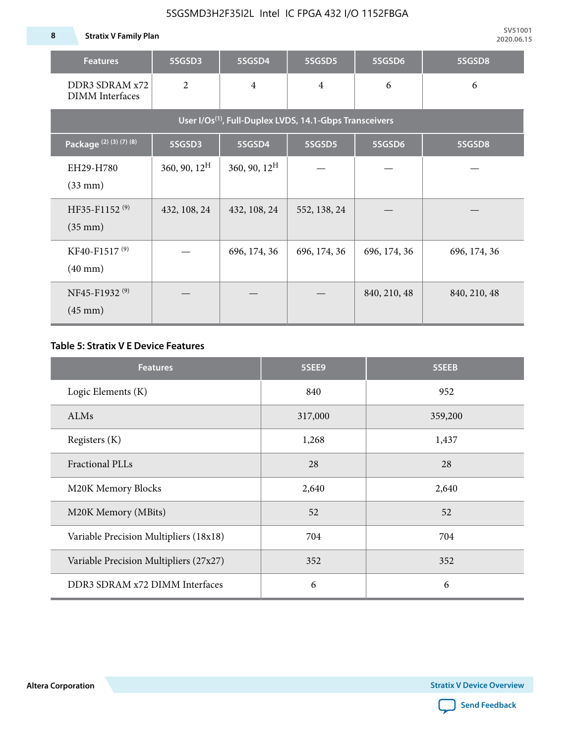**8 Stratix V Family Plan**

| <b>Features</b>                                                     | 5SGSD3          | 5SGSD4                   | 5SGSD5         | 5SGSD6       | 5SGSD8       |  |  |  |
|---------------------------------------------------------------------|-----------------|--------------------------|----------------|--------------|--------------|--|--|--|
| DDR3 SDRAM x72<br><b>DIMM</b> Interfaces                            | $\overline{2}$  | $\overline{4}$           | $\overline{4}$ | 6            | 6            |  |  |  |
| User I/Os <sup>(1)</sup> , Full-Duplex LVDS, 14.1-Gbps Transceivers |                 |                          |                |              |              |  |  |  |
| Package <sup>(2)</sup> (3)(7)(8)                                    | 5SGSD3          | 5SGSD4                   | 5SGSD5         | 5SGSD6       | 5SGSD8       |  |  |  |
| EH29-H780<br>$(33$ mm $)$                                           | 360, 90, $12^H$ | $360, 90, 12^{\text{H}}$ |                |              |              |  |  |  |
| HF35-F1152 <sup>(9)</sup><br>$(35 \text{ mm})$                      | 432, 108, 24    | 432, 108, 24             | 552, 138, 24   |              |              |  |  |  |
| KF40-F1517 <sup>(9)</sup><br>$(40 \text{ mm})$                      |                 | 696, 174, 36             | 696, 174, 36   | 696, 174, 36 | 696, 174, 36 |  |  |  |
| NF45-F1932 <sup>(9)</sup><br>$(45 \text{ mm})$                      |                 |                          |                | 840, 210, 48 | 840, 210, 48 |  |  |  |

#### **Table 5: Stratix V E Device Features**

| <b>Features</b>                        | 5SEE9   | 5SEEB   |
|----------------------------------------|---------|---------|
| Logic Elements (K)                     | 840     | 952     |
| ALMs                                   | 317,000 | 359,200 |
| Registers (K)                          | 1,268   | 1,437   |
| <b>Fractional PLLs</b>                 | 28      | 28      |
| M20K Memory Blocks                     | 2,640   | 2,640   |
| M20K Memory (MBits)                    | 52      | 52      |
| Variable Precision Multipliers (18x18) | 704     | 704     |
| Variable Precision Multipliers (27x27) | 352     | 352     |
| DDR3 SDRAM x72 DIMM Interfaces         | 6       | 6       |

**Altera Corporation** 

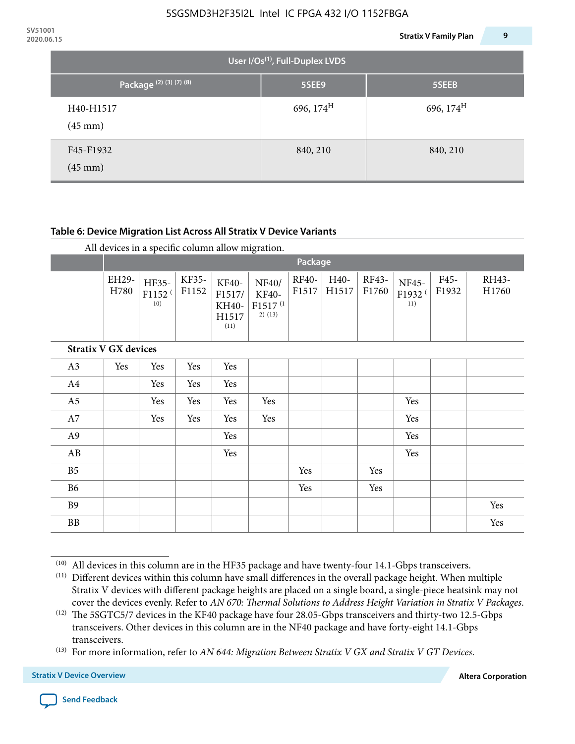| <b>JVJIUUI</b><br>2020.06.15 |                                |                                             | 9<br><b>Stratix V Family Plan</b> |  |  |  |  |  |  |  |  |
|------------------------------|--------------------------------|---------------------------------------------|-----------------------------------|--|--|--|--|--|--|--|--|
|                              |                                | User I/Os <sup>(1)</sup> , Full-Duplex LVDS |                                   |  |  |  |  |  |  |  |  |
|                              | Package (2) (3) (7) (8)        | 5SEE9                                       | 5SEEB                             |  |  |  |  |  |  |  |  |
|                              | H40-H1517<br>$(45 \text{ mm})$ | 696, $174^{\text{H}}$                       | 696, $174^{\text{H}}$             |  |  |  |  |  |  |  |  |
|                              | F45-F1932<br>$(45 \text{ mm})$ | 840, 210                                    | 840, 210                          |  |  |  |  |  |  |  |  |

#### **Table 6: Device Migration List Across All Stratix V Device Variants**

|                             |               | Package                            |                |                                           |                                                    |                       |               |                |                                    |               |                |
|-----------------------------|---------------|------------------------------------|----------------|-------------------------------------------|----------------------------------------------------|-----------------------|---------------|----------------|------------------------------------|---------------|----------------|
|                             | EH29-<br>H780 | HF35-<br>F1152 <sup>(</sup><br>10) | KF35-<br>F1152 | KF40-<br>F1517/<br>KH40-<br>H1517<br>(11) | NF40/<br>KF40-<br>F1517 <sup>(1</sup><br>$2)$ (13) | <b>RF40-</b><br>F1517 | H40-<br>H1517 | RF43-<br>F1760 | NF45-<br>F1932 <sup>(</sup><br>11) | F45-<br>F1932 | RH43-<br>H1760 |
| <b>Stratix V GX devices</b> |               |                                    |                |                                           |                                                    |                       |               |                |                                    |               |                |
| A3                          | Yes           | Yes                                | Yes            | Yes                                       |                                                    |                       |               |                |                                    |               |                |
| A4                          |               | Yes                                | Yes            | Yes                                       |                                                    |                       |               |                |                                    |               |                |
| A <sub>5</sub>              |               | Yes                                | Yes            | Yes                                       | Yes                                                |                       |               |                | Yes                                |               |                |
| A7                          |               | Yes                                | Yes            | Yes                                       | Yes                                                |                       |               |                | Yes                                |               |                |
| A9                          |               |                                    |                | Yes                                       |                                                    |                       |               |                | Yes                                |               |                |
| AB                          |               |                                    |                | Yes                                       |                                                    |                       |               |                | Yes                                |               |                |
| B <sub>5</sub>              |               |                                    |                |                                           |                                                    | Yes                   |               | Yes            |                                    |               |                |
| <b>B6</b>                   |               |                                    |                |                                           |                                                    | Yes                   |               | Yes            |                                    |               |                |
| <b>B9</b>                   |               |                                    |                |                                           |                                                    |                       |               |                |                                    |               | Yes            |
| <b>BB</b>                   |               |                                    |                |                                           |                                                    |                       |               |                |                                    |               | Yes            |

 $(10)$  All devices in this column are in the HF35 package and have twenty-four 14.1-Gbps transceivers.



<sup>(11)</sup> Different devices within this column have small differences in the overall package height. When multiple Stratix V devices with different package heights are placed on a single board, a single-piece heatsink may not cover the devices evenly. Refer to *AN 670: Thermal Solutions to Address Height Variation in Stratix V Packages*.

<sup>(12)</sup> The 5SGTC5/7 devices in the KF40 package have four 28.05-Gbps transceivers and thirty-two 12.5-Gbps transceivers. Other devices in this column are in the NF40 package and have forty-eight 14.1-Gbps transceivers.

<sup>(13)</sup> For more information, refer to *AN 644: Migration Between Stratix V GX and Stratix V GT Devices*.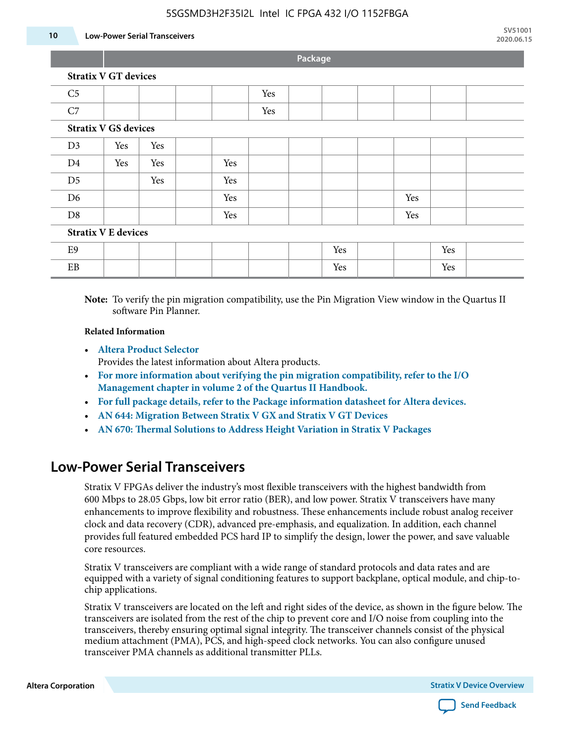#### 5SGSMD3H2F35I2L Intel IC FPGA 432 I/O 1152FBGA

#### **10 Low-Power Serial Transceivers**

**Package**

|                             |                             |     |     |     | - |     |     |     |  |
|-----------------------------|-----------------------------|-----|-----|-----|---|-----|-----|-----|--|
|                             | <b>Stratix V GT devices</b> |     |     |     |   |     |     |     |  |
| C <sub>5</sub>              |                             |     |     | Yes |   |     |     |     |  |
| C7                          |                             |     |     | Yes |   |     |     |     |  |
| <b>Stratix V GS devices</b> |                             |     |     |     |   |     |     |     |  |
| D <sub>3</sub>              | Yes                         | Yes |     |     |   |     |     |     |  |
| D <sub>4</sub>              | Yes                         | Yes | Yes |     |   |     |     |     |  |
| D <sub>5</sub>              |                             | Yes | Yes |     |   |     |     |     |  |
| D <sub>6</sub>              |                             |     | Yes |     |   |     | Yes |     |  |
| D <sub>8</sub>              |                             |     | Yes |     |   |     | Yes |     |  |
| <b>Stratix V E devices</b>  |                             |     |     |     |   |     |     |     |  |
| E <sub>9</sub>              |                             |     |     |     |   | Yes |     | Yes |  |
| $\rm EB$                    |                             |     |     |     |   | Yes |     | Yes |  |
|                             |                             |     |     |     |   |     |     |     |  |

**Note:** To verify the pin migration compatibility, use the Pin Migration View window in the Quartus II software Pin Planner.

#### **Related Information**

• **[Altera Product Selector](http://www.altera.com/products/selector/psg-selector.html#)**

Provides the latest information about Altera products.

- **[For more information about verifying the pin migration compatibility, refer to the I/O](http://www.altera.com/literature/hb/qts/qts_qii52013.pdf) [Management chapter in volume 2 of the Quartus II Handbook.](http://www.altera.com/literature/hb/qts/qts_qii52013.pdf)**
- **[For full package details, refer to the Package information datasheet for Altera devices.](http://www.altera.com/support/devices/packaging/specifications/pkg-pin/spe-index.jsp)**
- **[AN 644: Migration Between Stratix V GX and Stratix V GT Devices](http://www.altera.com/literature/an/an644.pdf)**
- **[AN 670: Thermal Solutions to Address Height Variation in Stratix V Packages](http://www.altera.com/literature/an/an670.pdf)**

### **Low-Power Serial Transceivers**

Stratix V FPGAs deliver the industry's most flexible transceivers with the highest bandwidth from 600 Mbps to 28.05 Gbps, low bit error ratio (BER), and low power. Stratix V transceivers have many enhancements to improve flexibility and robustness. These enhancements include robust analog receiver clock and data recovery (CDR), advanced pre-emphasis, and equalization. In addition, each channel provides full featured embedded PCS hard IP to simplify the design, lower the power, and save valuable core resources.

Stratix V transceivers are compliant with a wide range of standard protocols and data rates and are equipped with a variety of signal conditioning features to support backplane, optical module, and chip-tochip applications.

Stratix V transceivers are located on the left and right sides of the device, as shown in the figure below. The transceivers are isolated from the rest of the chip to prevent core and I/O noise from coupling into the transceivers, thereby ensuring optimal signal integrity. The transceiver channels consist of the physical medium attachment (PMA), PCS, and high-speed clock networks. You can also configure unused transceiver PMA channels as additional transmitter PLLs.

**Altera Corporation Stratix V Device Overview**

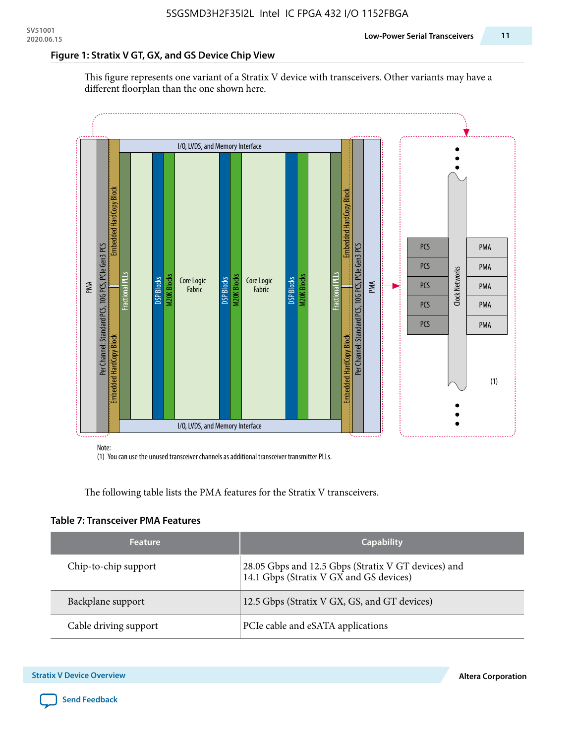#### **Figure 1: Stratix V GT, GX, and GS Device Chip View**

This figure represents one variant of a Stratix V device with transceivers. Other variants may have a different floorplan than the one shown here.



(1) You can use the unused transceiver channels as additional transceiver transmitter PLLs.

The following table lists the PMA features for the Stratix V transceivers.

#### **Table 7: Transceiver PMA Features**

| <b>Feature</b>        | <b>Capability</b>                                                                              |
|-----------------------|------------------------------------------------------------------------------------------------|
| Chip-to-chip support  | 28.05 Gbps and 12.5 Gbps (Stratix V GT devices) and<br>14.1 Gbps (Stratix V GX and GS devices) |
| Backplane support     | 12.5 Gbps (Stratix V GX, GS, and GT devices)                                                   |
| Cable driving support | PCIe cable and eSATA applications                                                              |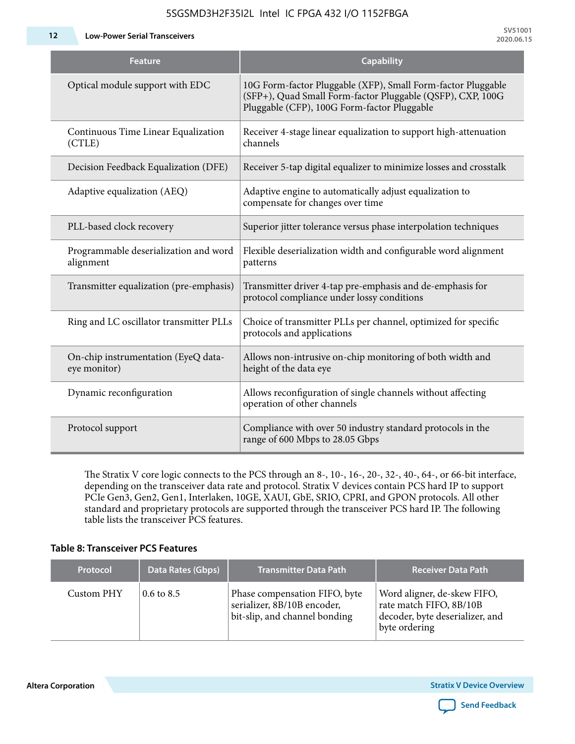5SGSMD3H2F35I2L Intel IC FPGA 432 I/O 1152FBGA

**12 Low-Power Serial Transceivers**

| <b>Feature</b>                                      | <b>Capability</b>                                                                                                                                                         |
|-----------------------------------------------------|---------------------------------------------------------------------------------------------------------------------------------------------------------------------------|
| Optical module support with EDC                     | 10G Form-factor Pluggable (XFP), Small Form-factor Pluggable<br>(SFP+), Quad Small Form-factor Pluggable (QSFP), CXP, 100G<br>Pluggable (CFP), 100G Form-factor Pluggable |
| Continuous Time Linear Equalization<br>(CTLE)       | Receiver 4-stage linear equalization to support high-attenuation<br>channels                                                                                              |
| Decision Feedback Equalization (DFE)                | Receiver 5-tap digital equalizer to minimize losses and crosstalk                                                                                                         |
| Adaptive equalization (AEQ)                         | Adaptive engine to automatically adjust equalization to<br>compensate for changes over time                                                                               |
| PLL-based clock recovery                            | Superior jitter tolerance versus phase interpolation techniques                                                                                                           |
| Programmable deserialization and word<br>alignment  | Flexible deserialization width and configurable word alignment<br>patterns                                                                                                |
| Transmitter equalization (pre-emphasis)             | Transmitter driver 4-tap pre-emphasis and de-emphasis for<br>protocol compliance under lossy conditions                                                                   |
| Ring and LC oscillator transmitter PLLs             | Choice of transmitter PLLs per channel, optimized for specific<br>protocols and applications                                                                              |
| On-chip instrumentation (EyeQ data-<br>eye monitor) | Allows non-intrusive on-chip monitoring of both width and<br>height of the data eye                                                                                       |
| Dynamic reconfiguration                             | Allows reconfiguration of single channels without affecting<br>operation of other channels                                                                                |
| Protocol support                                    | Compliance with over 50 industry standard protocols in the<br>range of 600 Mbps to 28.05 Gbps                                                                             |

The Stratix V core logic connects to the PCS through an 8-, 10-, 16-, 20-, 32-, 40-, 64-, or 66-bit interface, depending on the transceiver data rate and protocol. Stratix V devices contain PCS hard IP to support PCIe Gen3, Gen2, Gen1, Interlaken, 10GE, XAUI, GbE, SRIO, CPRI, and GPON protocols. All other standard and proprietary protocols are supported through the transceiver PCS hard IP. The following table lists the transceiver PCS features.

#### **Table 8: Transceiver PCS Features**

| <b>Protocol</b> | Data Rates (Gbps)     | <b>Transmitter Data Path</b>                                                                  | <b>Receiver Data Path</b>                                                                                  |
|-----------------|-----------------------|-----------------------------------------------------------------------------------------------|------------------------------------------------------------------------------------------------------------|
| Custom PHY      | $0.6 \text{ to } 8.5$ | Phase compensation FIFO, byte<br>serializer, 8B/10B encoder,<br>bit-slip, and channel bonding | Word aligner, de-skew FIFO,<br>rate match FIFO, 8B/10B<br>decoder, byte deserializer, and<br>byte ordering |

**Altera Corporation** 

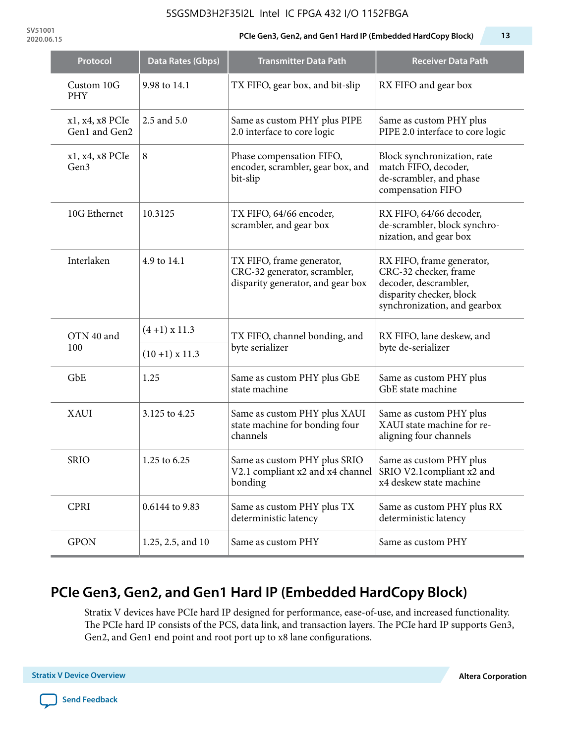#### 5SGSMD3H2F35I2L Intel IC FPGA 432 I/O 1152FBGA

**SV51001**

#### **2020.06.15 PCIe Gen3, Gen2, and Gen1 Hard IP (Embedded HardCopy Block) 13**

| Protocol                            | Data Rates (Gbps) | <b>Transmitter Data Path</b>                                                                             | <b>Receiver Data Path</b>                                                                                                               |  |
|-------------------------------------|-------------------|----------------------------------------------------------------------------------------------------------|-----------------------------------------------------------------------------------------------------------------------------------------|--|
| Custom 10G<br><b>PHY</b>            | 9.98 to 14.1      | TX FIFO, gear box, and bit-slip                                                                          | RX FIFO and gear box                                                                                                                    |  |
| x1, x4, x8 PCIe<br>Gen1 and Gen2    | 2.5 and 5.0       | Same as custom PHY plus PIPE<br>2.0 interface to core logic                                              | Same as custom PHY plus<br>PIPE 2.0 interface to core logic                                                                             |  |
| x1, x4, x8 PCIe<br>Gen <sub>3</sub> | 8                 | Phase compensation FIFO,<br>encoder, scrambler, gear box, and<br>bit-slip                                | Block synchronization, rate<br>match FIFO, decoder,<br>de-scrambler, and phase<br>compensation FIFO                                     |  |
| 10G Ethernet                        | 10.3125           | TX FIFO, 64/66 encoder,<br>scrambler, and gear box                                                       | RX FIFO, 64/66 decoder,<br>de-scrambler, block synchro-<br>nization, and gear box                                                       |  |
| Interlaken                          | 4.9 to 14.1       | TX FIFO, frame generator,<br>CRC-32 generator, scrambler,<br>disparity generator, and gear box           | RX FIFO, frame generator,<br>CRC-32 checker, frame<br>decoder, descrambler,<br>disparity checker, block<br>synchronization, and gearbox |  |
| OTN 40 and<br>100                   | $(4+1)$ x 11.3    | TX FIFO, channel bonding, and<br>byte serializer                                                         | RX FIFO, lane deskew, and<br>byte de-serializer                                                                                         |  |
|                                     | $(10+1)$ x 11.3   |                                                                                                          |                                                                                                                                         |  |
| GbE                                 | 1.25              | Same as custom PHY plus GbE<br>state machine                                                             | Same as custom PHY plus<br>GbE state machine                                                                                            |  |
| <b>XAUI</b>                         | 3.125 to 4.25     | Same as custom PHY plus XAUI<br>state machine for bonding four<br>channels                               | Same as custom PHY plus<br>XAUI state machine for re-<br>aligning four channels                                                         |  |
| <b>SRIO</b>                         | 1.25 to 6.25      | Same as custom PHY plus SRIO<br>V2.1 compliant x2 and x4 channel   SRIO V2.1 compliant x2 and<br>bonding | Same as custom PHY plus<br>x4 deskew state machine                                                                                      |  |
| <b>CPRI</b>                         | 0.6144 to 9.83    | Same as custom PHY plus TX<br>deterministic latency                                                      | Same as custom PHY plus RX<br>deterministic latency                                                                                     |  |
| <b>GPON</b>                         | 1.25, 2.5, and 10 | Same as custom PHY                                                                                       | Same as custom PHY                                                                                                                      |  |

# **PCIe Gen3, Gen2, and Gen1 Hard IP (Embedded HardCopy Block)**

Stratix V devices have PCIe hard IP designed for performance, ease-of-use, and increased functionality. The PCIe hard IP consists of the PCS, data link, and transaction layers. The PCIe hard IP supports Gen3, Gen2, and Gen1 end point and root port up to x8 lane configurations.

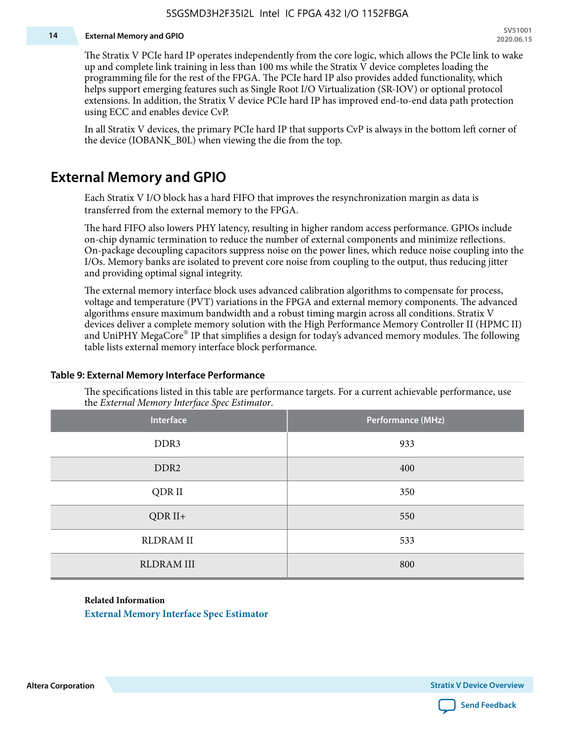#### **14 External Memory and GPIO**

The Stratix V PCIe hard IP operates independently from the core logic, which allows the PCIe link to wake up and complete link training in less than 100 ms while the Stratix V device completes loading the programming file for the rest of the FPGA. The PCIe hard IP also provides added functionality, which helps support emerging features such as Single Root I/O Virtualization (SR-IOV) or optional protocol extensions. In addition, the Stratix V device PCIe hard IP has improved end-to-end data path protection using ECC and enables device CvP.

In all Stratix V devices, the primary PCIe hard IP that supports CvP is always in the bottom left corner of the device (IOBANK\_B0L) when viewing the die from the top.

### **External Memory and GPIO**

Each Stratix V I/O block has a hard FIFO that improves the resynchronization margin as data is transferred from the external memory to the FPGA.

The hard FIFO also lowers PHY latency, resulting in higher random access performance. GPIOs include on-chip dynamic termination to reduce the number of external components and minimize reflections. On-package decoupling capacitors suppress noise on the power lines, which reduce noise coupling into the I/Os. Memory banks are isolated to prevent core noise from coupling to the output, thus reducing jitter and providing optimal signal integrity.

The external memory interface block uses advanced calibration algorithms to compensate for process, voltage and temperature (PVT) variations in the FPGA and external memory components. The advanced algorithms ensure maximum bandwidth and a robust timing margin across all conditions. Stratix V devices deliver a complete memory solution with the High Performance Memory Controller II (HPMC II) and UniPHY MegaCore® IP that simplifies a design for today's advanced memory modules. The following table lists external memory interface block performance.

| Interface         | Performance (MHz) |
|-------------------|-------------------|
| DDR3              | 933               |
| DDR <sub>2</sub>  | 400               |
| QDR II            | 350               |
| $QDR II+$         | 550               |
| <b>RLDRAM II</b>  | 533               |
| <b>RLDRAM III</b> | 800               |

#### **Table 9: External Memory Interface Performance**

The specifications listed in this table are performance targets. For a current achievable performance, use the *External Memory Interface Spec Estimator*.

#### **Related Information**

**[External Memory Interface Spec Estimator](http://www.altera.com/technology/memory/estimator/mem-emif-index.html)**

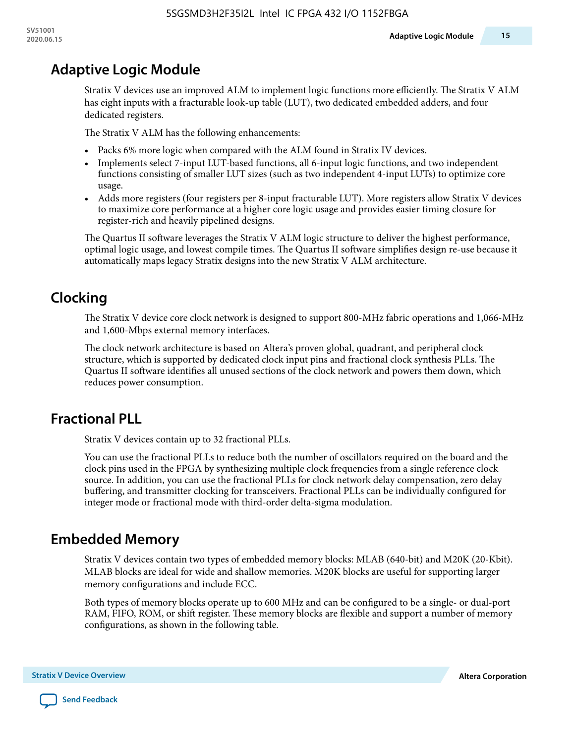# **Adaptive Logic Module**

Stratix V devices use an improved ALM to implement logic functions more efficiently. The Stratix V ALM has eight inputs with a fracturable look-up table (LUT), two dedicated embedded adders, and four dedicated registers.

The Stratix V ALM has the following enhancements:

- Packs 6% more logic when compared with the ALM found in Stratix IV devices.
- Implements select 7-input LUT-based functions, all 6-input logic functions, and two independent functions consisting of smaller LUT sizes (such as two independent 4-input LUTs) to optimize core usage.
- Adds more registers (four registers per 8-input fracturable LUT). More registers allow Stratix V devices to maximize core performance at a higher core logic usage and provides easier timing closure for register-rich and heavily pipelined designs.

The Quartus II software leverages the Stratix V ALM logic structure to deliver the highest performance, optimal logic usage, and lowest compile times. The Quartus II software simplifies design re-use because it automatically maps legacy Stratix designs into the new Stratix V ALM architecture.

# **Clocking**

The Stratix V device core clock network is designed to support 800-MHz fabric operations and 1,066-MHz and 1,600-Mbps external memory interfaces.

The clock network architecture is based on Altera's proven global, quadrant, and peripheral clock structure, which is supported by dedicated clock input pins and fractional clock synthesis PLLs. The Quartus II software identifies all unused sections of the clock network and powers them down, which reduces power consumption.

# **Fractional PLL**

Stratix V devices contain up to 32 fractional PLLs.

You can use the fractional PLLs to reduce both the number of oscillators required on the board and the clock pins used in the FPGA by synthesizing multiple clock frequencies from a single reference clock source. In addition, you can use the fractional PLLs for clock network delay compensation, zero delay buffering, and transmitter clocking for transceivers. Fractional PLLs can be individually configured for integer mode or fractional mode with third-order delta-sigma modulation.

# **Embedded Memory**

Stratix V devices contain two types of embedded memory blocks: MLAB (640-bit) and M20K (20-Kbit). MLAB blocks are ideal for wide and shallow memories. M20K blocks are useful for supporting larger memory configurations and include ECC.

Both types of memory blocks operate up to 600 MHz and can be configured to be a single- or dual-port RAM, FIFO, ROM, or shift register. These memory blocks are flexible and support a number of memory configurations, as shown in the following table.

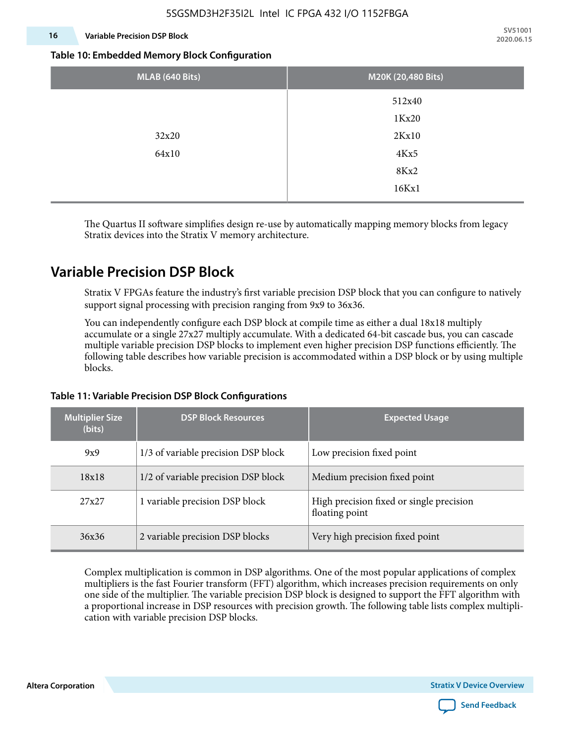#### **16 Variable Precision DSP Block**

**SV51001 2020.06.15**

#### **Table 10: Embedded Memory Block Configuration**

| MLAB (640 Bits) | M20K (20,480 Bits) |
|-----------------|--------------------|
|                 | 512x40             |
|                 | 1Kx20              |
| 32x20           | 2Kx10              |
| 64x10           | 4Kx5               |
|                 | 8Kx2               |
|                 | 16Kx1              |

The Quartus II software simplifies design re-use by automatically mapping memory blocks from legacy Stratix devices into the Stratix V memory architecture.

### **Variable Precision DSP Block**

Stratix V FPGAs feature the industry's first variable precision DSP block that you can configure to natively support signal processing with precision ranging from 9x9 to 36x36.

You can independently configure each DSP block at compile time as either a dual 18x18 multiply accumulate or a single 27x27 multiply accumulate. With a dedicated 64-bit cascade bus, you can cascade multiple variable precision DSP blocks to implement even higher precision DSP functions efficiently. The following table describes how variable precision is accommodated within a DSP block or by using multiple blocks.

| <b>Multiplier Size</b><br>(bits) | <b>DSP Block Resources</b>          | <b>Expected Usage</b>                                      |
|----------------------------------|-------------------------------------|------------------------------------------------------------|
| 9x9                              | 1/3 of variable precision DSP block | Low precision fixed point                                  |
| 18x18                            | 1/2 of variable precision DSP block | Medium precision fixed point                               |
| 27x27                            | 1 variable precision DSP block      | High precision fixed or single precision<br>floating point |
| 36x36                            | 2 variable precision DSP blocks     | Very high precision fixed point                            |

#### **Table 11: Variable Precision DSP Block Configurations**

Complex multiplication is common in DSP algorithms. One of the most popular applications of complex multipliers is the fast Fourier transform (FFT) algorithm, which increases precision requirements on only one side of the multiplier. The variable precision DSP block is designed to support the FFT algorithm with a proportional increase in DSP resources with precision growth. The following table lists complex multipli‐ cation with variable precision DSP blocks.

**Altera Corporation** 

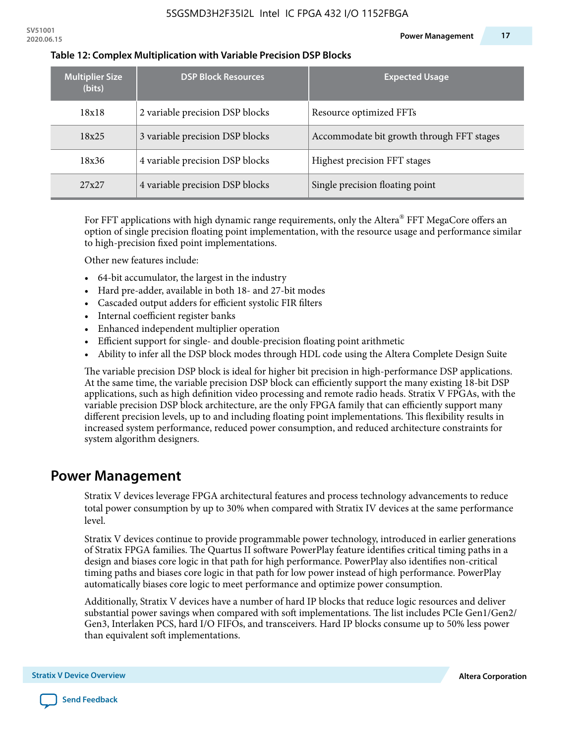| <b>Multiplier Size</b><br>(bits) | <b>DSP Block Resources</b>      | <b>Expected Usage</b>                     |
|----------------------------------|---------------------------------|-------------------------------------------|
| 18x18                            | 2 variable precision DSP blocks | Resource optimized FFTs                   |
| 18x25                            | 3 variable precision DSP blocks | Accommodate bit growth through FFT stages |
| 18x36                            | 4 variable precision DSP blocks | Highest precision FFT stages              |
| 27x27                            | 4 variable precision DSP blocks | Single precision floating point           |

#### **Table 12: Complex Multiplication with Variable Precision DSP Blocks**

For FFT applications with high dynamic range requirements, only the Altera $^\circ$  FFT MegaCore offers an option of single precision floating point implementation, with the resource usage and performance similar to high-precision fixed point implementations.

Other new features include:

- 64-bit accumulator, the largest in the industry
- Hard pre-adder, available in both 18- and 27-bit modes
- Cascaded output adders for efficient systolic FIR filters
- Internal coefficient register banks
- Enhanced independent multiplier operation
- Efficient support for single- and double-precision floating point arithmetic
- Ability to infer all the DSP block modes through HDL code using the Altera Complete Design Suite

The variable precision DSP block is ideal for higher bit precision in high-performance DSP applications. At the same time, the variable precision DSP block can efficiently support the many existing 18-bit DSP applications, such as high definition video processing and remote radio heads. Stratix V FPGAs, with the variable precision DSP block architecture, are the only FPGA family that can efficiently support many different precision levels, up to and including floating point implementations. This flexibility results in increased system performance, reduced power consumption, and reduced architecture constraints for system algorithm designers.

### **Power Management**

Stratix V devices leverage FPGA architectural features and process technology advancements to reduce total power consumption by up to 30% when compared with Stratix IV devices at the same performance level.

Stratix V devices continue to provide programmable power technology, introduced in earlier generations of Stratix FPGA families. The Quartus II software PowerPlay feature identifies critical timing paths in a design and biases core logic in that path for high performance. PowerPlay also identifies non-critical timing paths and biases core logic in that path for low power instead of high performance. PowerPlay automatically biases core logic to meet performance and optimize power consumption.

Additionally, Stratix V devices have a number of hard IP blocks that reduce logic resources and deliver substantial power savings when compared with soft implementations. The list includes PCIe Gen1/Gen2/ Gen3, Interlaken PCS, hard I/O FIFOs, and transceivers. Hard IP blocks consume up to 50% less power than equivalent soft implementations.

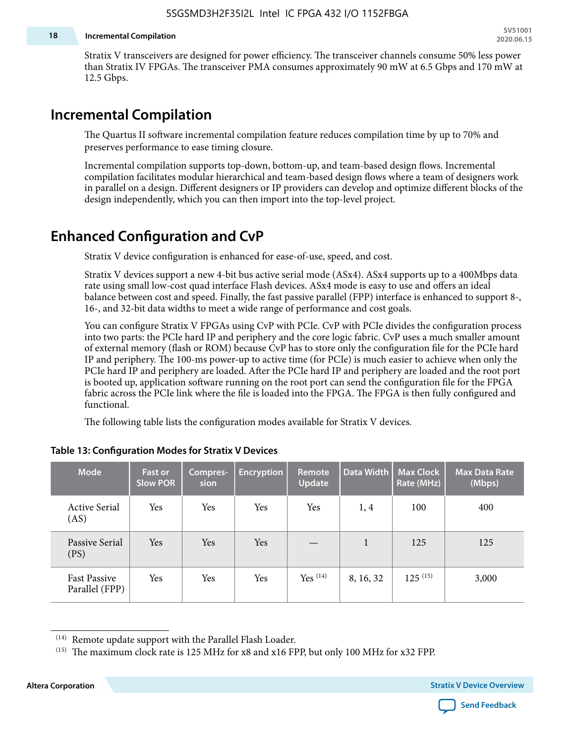#### **18 Incremental Compilation**

Stratix V transceivers are designed for power efficiency. The transceiver channels consume 50% less power than Stratix IV FPGAs. The transceiver PMA consumes approximately 90 mW at 6.5 Gbps and 170 mW at 12.5 Gbps.

### **Incremental Compilation**

The Quartus II software incremental compilation feature reduces compilation time by up to 70% and preserves performance to ease timing closure.

Incremental compilation supports top-down, bottom-up, and team-based design flows. Incremental compilation facilitates modular hierarchical and team-based design flows where a team of designers work in parallel on a design. Different designers or IP providers can develop and optimize different blocks of the design independently, which you can then import into the top-level project.

# **Enhanced Configuration and CvP**

Stratix V device configuration is enhanced for ease-of-use, speed, and cost.

Stratix V devices support a new 4-bit bus active serial mode (ASx4). ASx4 supports up to a 400Mbps data rate using small low-cost quad interface Flash devices. ASx4 mode is easy to use and offers an ideal balance between cost and speed. Finally, the fast passive parallel (FPP) interface is enhanced to support 8-, 16-, and 32-bit data widths to meet a wide range of performance and cost goals.

You can configure Stratix V FPGAs using CvP with PCIe. CvP with PCIe divides the configuration process into two parts: the PCIe hard IP and periphery and the core logic fabric. CvP uses a much smaller amount of external memory (flash or ROM) because CvP has to store only the configuration file for the PCIe hard IP and periphery. The 100-ms power-up to active time (for PCIe) is much easier to achieve when only the PCIe hard IP and periphery are loaded. After the PCIe hard IP and periphery are loaded and the root port is booted up, application software running on the root port can send the configuration file for the FPGA fabric across the PCIe link where the file is loaded into the FPGA. The FPGA is then fully configured and functional.

The following table lists the configuration modes available for Stratix V devices.

| <b>Mode</b>                           | <b>Fast or</b><br><b>Slow POR</b> | Compres-<br>sion | <b>Encryption</b> | <b>Remote</b><br><b>Update</b> | Data Width | <b>Max Clock</b><br>Rate (MHz) | <b>Max Data Rate</b><br>(Mbps) |
|---------------------------------------|-----------------------------------|------------------|-------------------|--------------------------------|------------|--------------------------------|--------------------------------|
| <b>Active Serial</b><br>(AS)          | Yes                               | Yes              | Yes               | Yes                            | 1, 4       | 100                            | 400                            |
| Passive Serial<br>(PS)                | Yes                               | Yes              | Yes               |                                | 1          | 125                            | 125                            |
| <b>Fast Passive</b><br>Parallel (FPP) | Yes                               | Yes              | Yes               | Yes $(14)$                     | 8, 16, 32  | $125^{(15)}$                   | 3,000                          |

#### **Table 13: Configuration Modes for Stratix V Devices**

**Altera Corporation Stratix V Device Overview**



<sup>(14)</sup> Remote update support with the Parallel Flash Loader.

<sup>&</sup>lt;sup>(15)</sup> The maximum clock rate is 125 MHz for x8 and x16 FPP, but only 100 MHz for x32 FPP.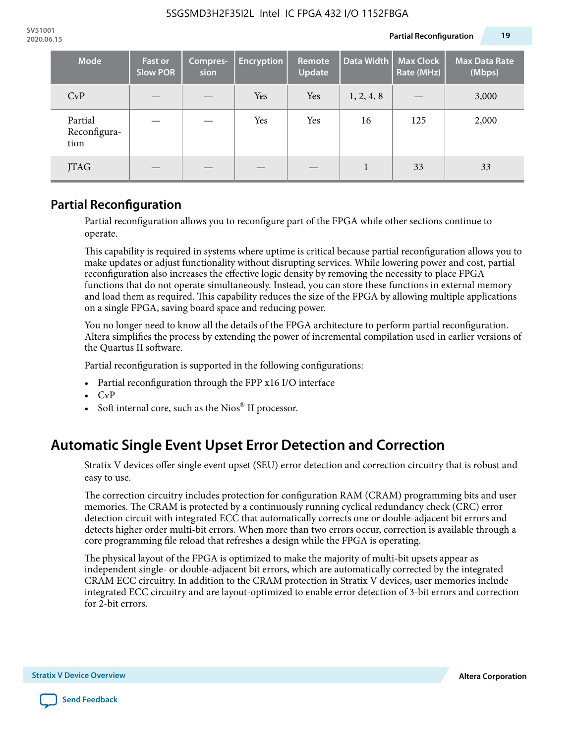| <b>Mode</b>                     | <b>Fast or</b><br><b>Slow POR</b> | Compres-<br>sion | <b>Encryption</b> | Remote<br><b>Update</b> | Data Width | <b>Max Clock</b><br>Rate (MHz) | <b>Max Data Rate</b><br>(Mbps) |
|---------------------------------|-----------------------------------|------------------|-------------------|-------------------------|------------|--------------------------------|--------------------------------|
| CvP                             |                                   |                  | Yes               | Yes                     | 1, 2, 4, 8 |                                | 3,000                          |
| Partial<br>Reconfigura-<br>tion |                                   |                  | Yes               | Yes                     | 16         | 125                            | 2,000                          |
| JTAG                            |                                   |                  |                   |                         |            | 33                             | 33                             |

### **Partial Reconfiguration**

Partial reconfiguration allows you to reconfigure part of the FPGA while other sections continue to operate.

This capability is required in systems where uptime is critical because partial reconfiguration allows you to make updates or adjust functionality without disrupting services. While lowering power and cost, partial reconfiguration also increases the effective logic density by removing the necessity to place FPGA functions that do not operate simultaneously. Instead, you can store these functions in external memory and load them as required. This capability reduces the size of the FPGA by allowing multiple applications on a single FPGA, saving board space and reducing power.

You no longer need to know all the details of the FPGA architecture to perform partial reconfiguration. Altera simplifies the process by extending the power of incremental compilation used in earlier versions of the Quartus II software.

Partial reconfiguration is supported in the following configurations:

- Partial reconfiguration through the FPP x16 I/O interface
- CvP
- Soft internal core, such as the Nios® II processor.

# **Automatic Single Event Upset Error Detection and Correction**

Stratix V devices offer single event upset (SEU) error detection and correction circuitry that is robust and easy to use.

The correction circuitry includes protection for configuration RAM (CRAM) programming bits and user memories. The CRAM is protected by a continuously running cyclical redundancy check (CRC) error detection circuit with integrated ECC that automatically corrects one or double-adjacent bit errors and detects higher order multi-bit errors. When more than two errors occur, correction is available through a core programming file reload that refreshes a design while the FPGA is operating.

The physical layout of the FPGA is optimized to make the majority of multi-bit upsets appear as independent single- or double-adjacent bit errors, which are automatically corrected by the integrated CRAM ECC circuitry. In addition to the CRAM protection in Stratix V devices, user memories include integrated ECC circuitry and are layout-optimized to enable error detection of 3-bit errors and correction for 2-bit errors.

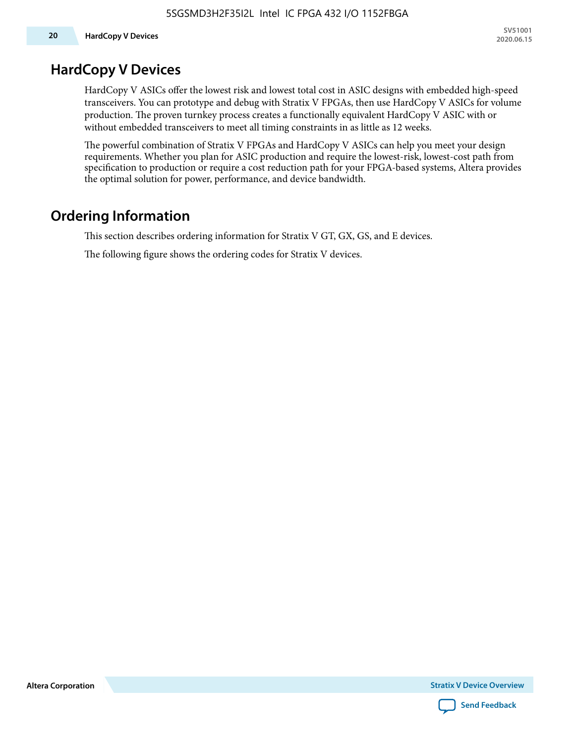### **HardCopy V Devices**

HardCopy V ASICs offer the lowest risk and lowest total cost in ASIC designs with embedded high-speed transceivers. You can prototype and debug with Stratix V FPGAs, then use HardCopy V ASICs for volume production. The proven turnkey process creates a functionally equivalent HardCopy V ASIC with or without embedded transceivers to meet all timing constraints in as little as 12 weeks.

The powerful combination of Stratix V FPGAs and HardCopy V ASICs can help you meet your design requirements. Whether you plan for ASIC production and require the lowest-risk, lowest-cost path from specification to production or require a cost reduction path for your FPGA-based systems, Altera provides the optimal solution for power, performance, and device bandwidth.

### **Ordering Information**

This section describes ordering information for Stratix V GT, GX, GS, and E devices.

The following figure shows the ordering codes for Stratix V devices.

**Altera Corporation** 

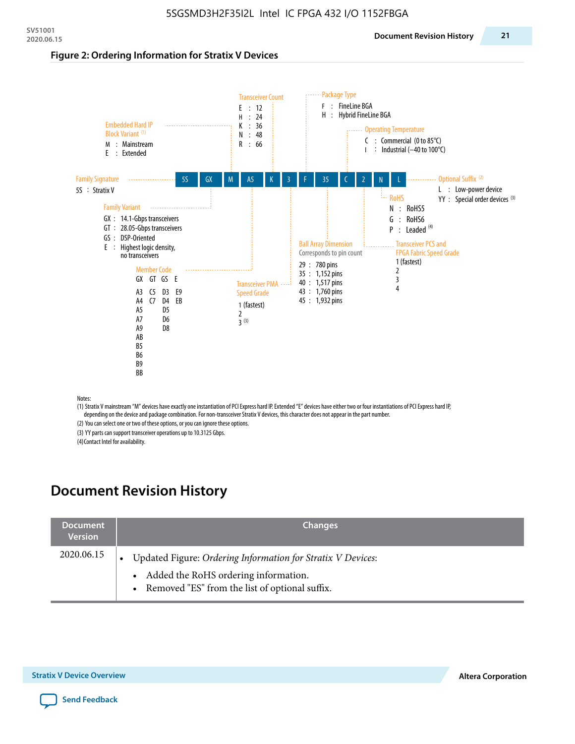#### **Figure 2: Ordering Information for Stratix V Devices**



(1) Stratix V mainstream "M" devices have exactly one instantiation of PCI Express hard IP. Extended "E" devices have either two or four instantiations of PCI Express hard IP, depending on the device and package combination. For non-transceiver Stratix V devices, this character does not appear in the part number.

(2) You can select one or two of these options, or you can ignore these options. (3) YY parts can support transceiver operations up to 10.3125 Gbps.

(4) Contact Intel for availability.

# **Document Revision History**

| <b>Document</b><br><b>Version</b> | <b>Changes</b>                                                                                                                                            |
|-----------------------------------|-----------------------------------------------------------------------------------------------------------------------------------------------------------|
| 2020.06.15                        | Updated Figure: Ordering Information for Stratix V Devices:<br>• Added the RoHS ordering information.<br>• Removed "ES" from the list of optional suffix. |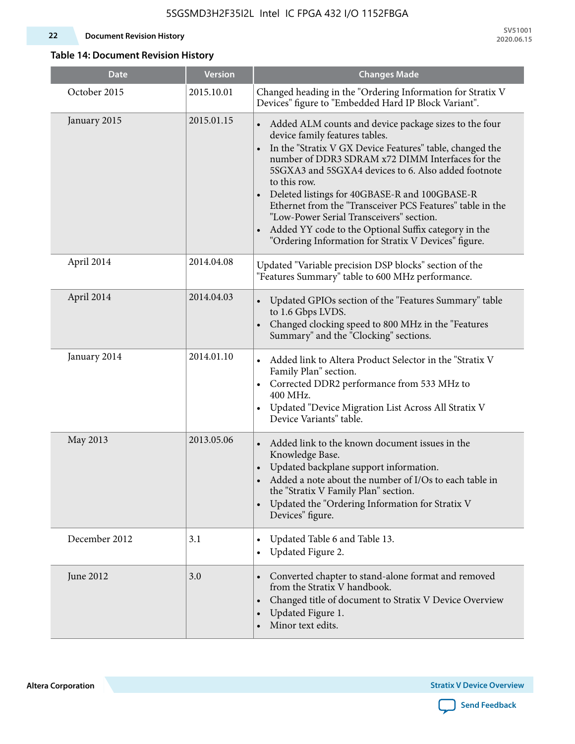#### **22 Document Revision History**

**SV51001 2020.06.15**

#### **Table 14: Document Revision History**

| <b>Date</b>   | <b>Version</b> | <b>Changes Made</b>                                                                                                                                                                                                                                                                                                                                                                                                                                                                                                                                                                |
|---------------|----------------|------------------------------------------------------------------------------------------------------------------------------------------------------------------------------------------------------------------------------------------------------------------------------------------------------------------------------------------------------------------------------------------------------------------------------------------------------------------------------------------------------------------------------------------------------------------------------------|
| October 2015  | 2015.10.01     | Changed heading in the "Ordering Information for Stratix V<br>Devices" figure to "Embedded Hard IP Block Variant".                                                                                                                                                                                                                                                                                                                                                                                                                                                                 |
| January 2015  | 2015.01.15     | Added ALM counts and device package sizes to the four<br>device family features tables.<br>In the "Stratix V GX Device Features" table, changed the<br>$\bullet$<br>number of DDR3 SDRAM x72 DIMM Interfaces for the<br>5SGXA3 and 5SGXA4 devices to 6. Also added footnote<br>to this row.<br>Deleted listings for 40GBASE-R and 100GBASE-R<br>Ethernet from the "Transceiver PCS Features" table in the<br>"Low-Power Serial Transceivers" section.<br>Added YY code to the Optional Suffix category in the<br>$\bullet$<br>"Ordering Information for Stratix V Devices" figure. |
| April 2014    | 2014.04.08     | Updated "Variable precision DSP blocks" section of the<br>"Features Summary" table to 600 MHz performance.                                                                                                                                                                                                                                                                                                                                                                                                                                                                         |
| April 2014    | 2014.04.03     | Updated GPIOs section of the "Features Summary" table<br>to 1.6 Gbps LVDS.<br>Changed clocking speed to 800 MHz in the "Features<br>Summary" and the "Clocking" sections.                                                                                                                                                                                                                                                                                                                                                                                                          |
| January 2014  | 2014.01.10     | Added link to Altera Product Selector in the "Stratix V<br>Family Plan" section.<br>• Corrected DDR2 performance from 533 MHz to<br>400 MHz.<br>Updated "Device Migration List Across All Stratix V<br>Device Variants" table.                                                                                                                                                                                                                                                                                                                                                     |
| May 2013      | 2013.05.06     | Added link to the known document issues in the<br>Knowledge Base.<br>Updated backplane support information.<br>$\bullet$<br>Added a note about the number of I/Os to each table in<br>the "Stratix V Family Plan" section.<br>Updated the "Ordering Information for Stratix V<br>$\bullet$<br>Devices" figure.                                                                                                                                                                                                                                                                     |
| December 2012 | 3.1            | Updated Table 6 and Table 13.<br>$\bullet$<br>Updated Figure 2.<br>$\bullet$                                                                                                                                                                                                                                                                                                                                                                                                                                                                                                       |
| June 2012     | 3.0            | Converted chapter to stand-alone format and removed<br>$\bullet$<br>from the Stratix V handbook.<br>Changed title of document to Stratix V Device Overview<br>$\bullet$<br>Updated Figure 1.<br>$\bullet$<br>Minor text edits.                                                                                                                                                                                                                                                                                                                                                     |

**Altera Corporation** 

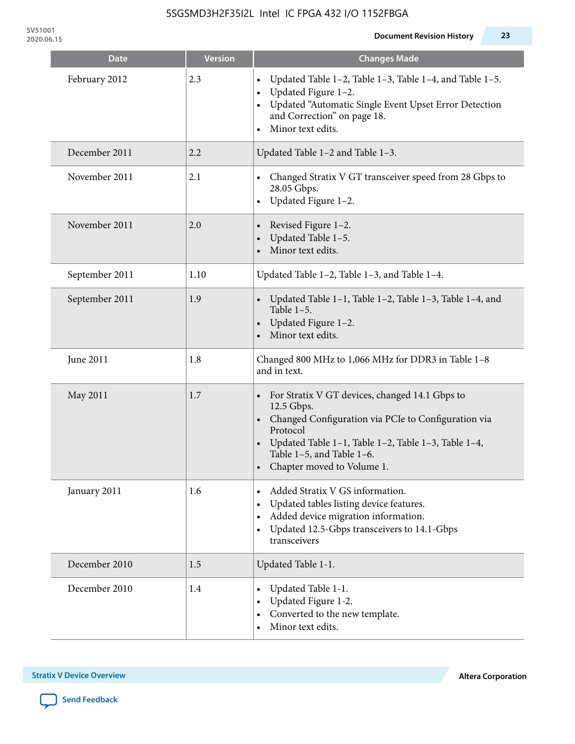**SV51001**

| <b>Date</b>    | <b>Version</b> | <b>Changes Made</b>                                                                                                                                                                                                                                   |
|----------------|----------------|-------------------------------------------------------------------------------------------------------------------------------------------------------------------------------------------------------------------------------------------------------|
| February 2012  | 2.3            | Updated Table 1-2, Table 1-3, Table 1-4, and Table 1-5.<br>Updated Figure 1-2.<br>Updated "Automatic Single Event Upset Error Detection<br>and Correction" on page 18.<br>Minor text edits.                                                           |
| December 2011  | 2.2            | Updated Table 1-2 and Table 1-3.                                                                                                                                                                                                                      |
| November 2011  | 2.1            | Changed Stratix V GT transceiver speed from 28 Gbps to<br>28.05 Gbps.<br>Updated Figure 1-2.                                                                                                                                                          |
| November 2011  | 2.0            | Revised Figure 1-2.<br>Updated Table 1-5.<br>Minor text edits.                                                                                                                                                                                        |
| September 2011 | 1.10           | Updated Table 1-2, Table 1-3, and Table 1-4.                                                                                                                                                                                                          |
| September 2011 | 1.9            | Updated Table 1-1, Table 1-2, Table 1-3, Table 1-4, and<br>Table $1-5$ .<br>Updated Figure 1-2.<br>Minor text edits.                                                                                                                                  |
| June 2011      | 1.8            | Changed 800 MHz to 1,066 MHz for DDR3 in Table 1-8<br>and in text.                                                                                                                                                                                    |
| May 2011       | 1.7            | For Stratix V GT devices, changed 14.1 Gbps to<br>12.5 Gbps.<br>• Changed Configuration via PCIe to Configuration via<br>Protocol<br>Updated Table 1–1, Table 1–2, Table 1–3, Table 1–4,<br>Table 1-5, and Table 1-6.<br>• Chapter moved to Volume 1. |
| January 2011   | 1.6            | Added Stratix V GS information.<br>Updated tables listing device features.<br>Added device migration information.<br>Updated 12.5-Gbps transceivers to 14.1-Gbps<br>transceivers                                                                      |
| December 2010  | 1.5            | Updated Table 1-1.                                                                                                                                                                                                                                    |
| December 2010  | 1.4            | Updated Table 1-1.<br>Updated Figure 1-2.<br>Converted to the new template.<br>Minor text edits.                                                                                                                                                      |

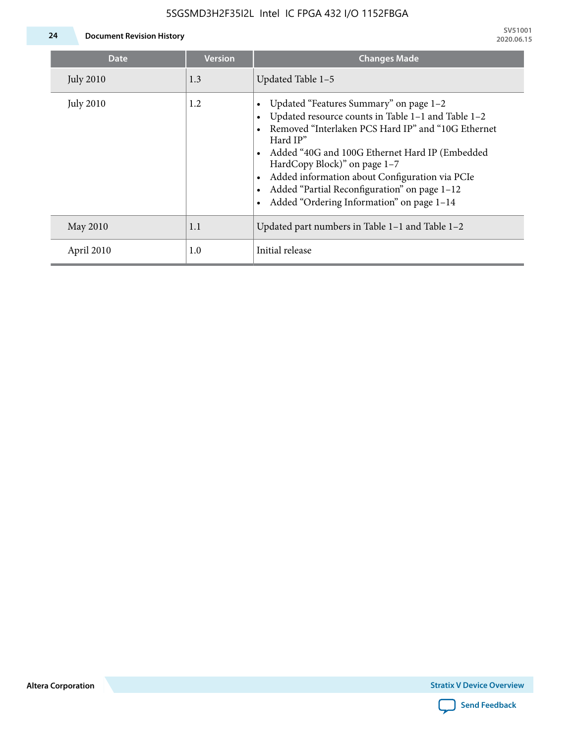### 5SGSMD3H2F35I2L Intel IC FPGA 432 I/O 1152FBGA



**24 Document Revision History**

| <b>Date</b>      | <b>Version</b> | <b>Changes Made</b>                                                                                                                                                                                                                                                                                                                                                                             |
|------------------|----------------|-------------------------------------------------------------------------------------------------------------------------------------------------------------------------------------------------------------------------------------------------------------------------------------------------------------------------------------------------------------------------------------------------|
| <b>July 2010</b> | 1.3            | Updated Table 1-5                                                                                                                                                                                                                                                                                                                                                                               |
| <b>July 2010</b> | 1.2            | Updated "Features Summary" on page 1-2<br>Updated resource counts in Table 1-1 and Table 1-2<br>Removed "Interlaken PCS Hard IP" and "10G Ethernet<br>Hard IP"<br>Added "40G and 100G Ethernet Hard IP (Embedded<br>HardCopy Block)" on page 1-7<br>Added information about Configuration via PCIe<br>Added "Partial Reconfiguration" on page 1-12<br>Added "Ordering Information" on page 1-14 |
| May 2010         | 1.1            | Updated part numbers in Table $1-1$ and Table $1-2$                                                                                                                                                                                                                                                                                                                                             |
| April 2010       | 1.0            | Initial release                                                                                                                                                                                                                                                                                                                                                                                 |

**Altera Corporation**